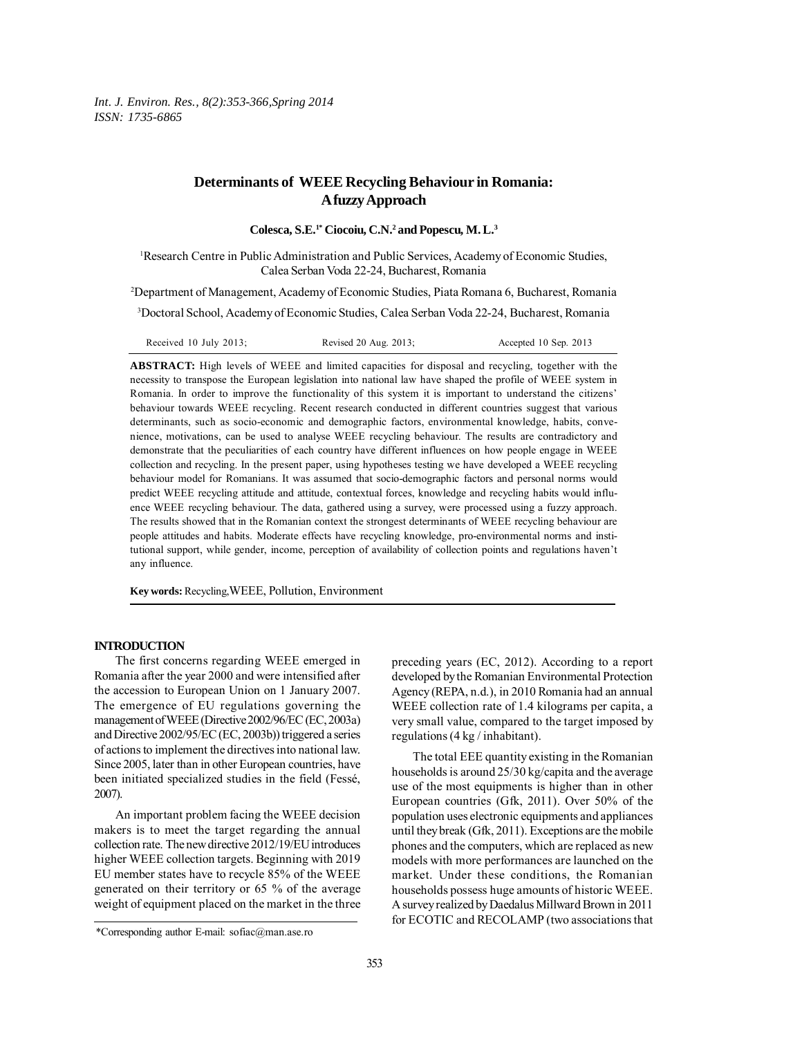# **Determinants of WEEE Recycling Behaviour in Romania: A fuzzy Approach**

**Colesca, S.E.1\* Ciocoiu, C.N.2 and Popescu, M. L.3**

<sup>1</sup>Research Centre in Public Administration and Public Services, Academy of Economic Studies, Calea Serban Voda 22-24, Bucharest, Romania

2 Department of Management, Academy of Economic Studies, Piata Romana 6, Bucharest, Romania

3 Doctoral School, Academy of Economic Studies, Calea Serban Voda 22-24, Bucharest, Romania

| Received 10 July 2013; | Revised 20 Aug. 2013; | Accepted 10 Sep. 2013 |
|------------------------|-----------------------|-----------------------|
|------------------------|-----------------------|-----------------------|

**ABSTRACT:** High levels of WEEE and limited capacities for disposal and recycling, together with the necessity to transpose the European legislation into national law have shaped the profile of WEEE system in Romania. In order to improve the functionality of this system it is important to understand the citizens' behaviour towards WEEE recycling. Recent research conducted in different countries suggest that various determinants, such as socio-economic and demographic factors, environmental knowledge, habits, convenience, motivations, can be used to analyse WEEE recycling behaviour. The results are contradictory and demonstrate that the peculiarities of each country have different influences on how people engage in WEEE collection and recycling. In the present paper, using hypotheses testing we have developed a WEEE recycling behaviour model for Romanians. It was assumed that socio-demographic factors and personal norms would predict WEEE recycling attitude and attitude, contextual forces, knowledge and recycling habits would influence WEEE recycling behaviour. The data, gathered using a survey, were processed using a fuzzy approach. The results showed that in the Romanian context the strongest determinants of WEEE recycling behaviour are people attitudes and habits. Moderate effects have recycling knowledge, pro-environmental norms and institutional support, while gender, income, perception of availability of collection points and regulations haven't any influence.

**Key words:** Recycling,WEEE, Pollution, Environment

# **INTRODUCTION**

The first concerns regarding WEEE emerged in Romania after the year 2000 and were intensified after the accession to European Union on 1 January 2007. The emergence of EU regulations governing the management of WEEE (Directive 2002/96/EC (EC, 2003a) and Directive 2002/95/EC (EC, 2003b)) triggered a series of actions to implement the directives into national law. Since 2005, later than in other European countries, have been initiated specialized studies in the field (Fessé, 2007).

An important problem facing the WEEE decision makers is to meet the target regarding the annual collection rate. The new directive 2012/19/EU introduces higher WEEE collection targets. Beginning with 2019 EU member states have to recycle 85% of the WEEE generated on their territory or 65 % of the average weight of equipment placed on the market in the three preceding years (EC, 2012). According to a report developed by the Romanian Environmental Protection Agency (REPA, n.d.), in 2010 Romania had an annual WEEE collection rate of 1.4 kilograms per capita, a very small value, compared to the target imposed by regulations (4 kg / inhabitant).

The total EEE quantity existing in the Romanian households is around 25/30 kg/capita and the average use of the most equipments is higher than in other European countries (Gfk, 2011). Over 50% of the population uses electronic equipments and appliances until they break (Gfk, 2011). Exceptions are the mobile phones and the computers, which are replaced as new models with more performances are launched on the market. Under these conditions, the Romanian households possess huge amounts of historic WEEE. A survey realized by Daedalus Millward Brown in 2011 for ECOTIC and RECOLAMP (two associations that

<sup>\*</sup>Corresponding author E-mail: sofiac@man.ase.ro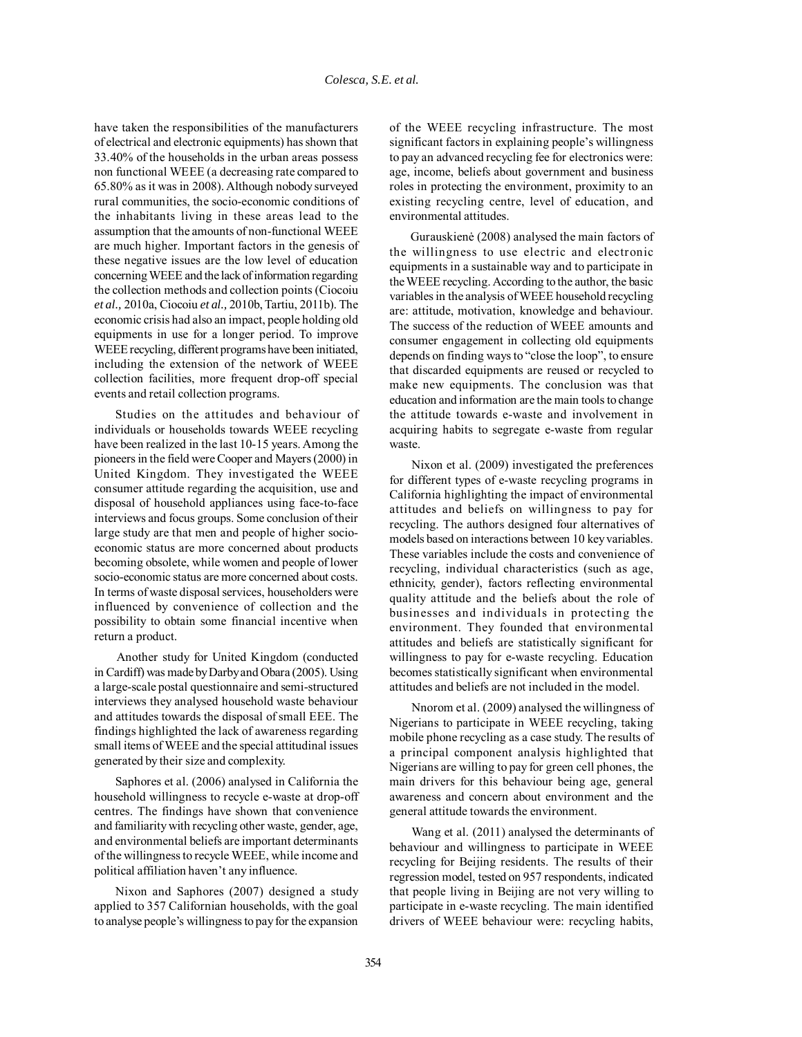have taken the responsibilities of the manufacturers of electrical and electronic equipments) has shown that 33.40% of the households in the urban areas possess non functional WEEE (a decreasing rate compared to 65.80% as it was in 2008). Although nobody surveyed rural communities, the socio-economic conditions of the inhabitants living in these areas lead to the assumption that the amounts of non-functional WEEE are much higher. Important factors in the genesis of these negative issues are the low level of education concerning WEEE and the lack of information regarding the collection methods and collection points (Ciocoiu *et al.,* 2010a, Ciocoiu *et al.,* 2010b, Tartiu, 2011b). The economic crisis had also an impact, people holding old equipments in use for a longer period. To improve WEEE recycling, different programs have been initiated, including the extension of the network of WEEE collection facilities, more frequent drop-off special events and retail collection programs.

Studies on the attitudes and behaviour of individuals or households towards WEEE recycling have been realized in the last 10-15 years. Among the pioneers in the field were Cooper and Mayers (2000) in United Kingdom. They investigated the WEEE consumer attitude regarding the acquisition, use and disposal of household appliances using face-to-face interviews and focus groups. Some conclusion of their large study are that men and people of higher socioeconomic status are more concerned about products becoming obsolete, while women and people of lower socio-economic status are more concerned about costs. In terms of waste disposal services, householders were influenced by convenience of collection and the possibility to obtain some financial incentive when return a product.

Another study for United Kingdom (conducted in Cardiff) was made by Darby and Obara (2005). Using a large-scale postal questionnaire and semi-structured interviews they analysed household waste behaviour and attitudes towards the disposal of small EEE. The findings highlighted the lack of awareness regarding small items of WEEE and the special attitudinal issues generated by their size and complexity.

Saphores et al. (2006) analysed in California the household willingness to recycle e-waste at drop-off centres. The findings have shown that convenience and familiarity with recycling other waste, gender, age, and environmental beliefs are important determinants of the willingness to recycle WEEE, while income and political affiliation haven't any influence.

Nixon and Saphores (2007) designed a study applied to 357 Californian households, with the goal to analyse people's willingness to pay for the expansion

of the WEEE recycling infrastructure. The most significant factors in explaining people's willingness to pay an advanced recycling fee for electronics were: age, income, beliefs about government and business roles in protecting the environment, proximity to an existing recycling centre, level of education, and environmental attitudes.

Gurauskienė (2008) analysed the main factors of the willingness to use electric and electronic equipments in a sustainable way and to participate in the WEEE recycling. According to the author, the basic variables in the analysis of WEEE household recycling are: attitude, motivation, knowledge and behaviour. The success of the reduction of WEEE amounts and consumer engagement in collecting old equipments depends on finding ways to "close the loop", to ensure that discarded equipments are reused or recycled to make new equipments. The conclusion was that education and information are the main tools to change the attitude towards e-waste and involvement in acquiring habits to segregate e-waste from regular waste.

Nixon et al. (2009) investigated the preferences for different types of e-waste recycling programs in California highlighting the impact of environmental attitudes and beliefs on willingness to pay for recycling. The authors designed four alternatives of models based on interactions between 10 key variables. These variables include the costs and convenience of recycling, individual characteristics (such as age, ethnicity, gender), factors reflecting environmental quality attitude and the beliefs about the role of businesses and individuals in protecting the environment. They founded that environmental attitudes and beliefs are statistically significant for willingness to pay for e-waste recycling. Education becomes statistically significant when environmental attitudes and beliefs are not included in the model.

Nnorom et al. (2009) analysed the willingness of Nigerians to participate in WEEE recycling, taking mobile phone recycling as a case study. The results of a principal component analysis highlighted that Nigerians are willing to pay for green cell phones, the main drivers for this behaviour being age, general awareness and concern about environment and the general attitude towards the environment.

Wang et al. (2011) analysed the determinants of behaviour and willingness to participate in WEEE recycling for Beijing residents. The results of their regression model, tested on 957 respondents, indicated that people living in Beijing are not very willing to participate in e-waste recycling. The main identified drivers of WEEE behaviour were: recycling habits,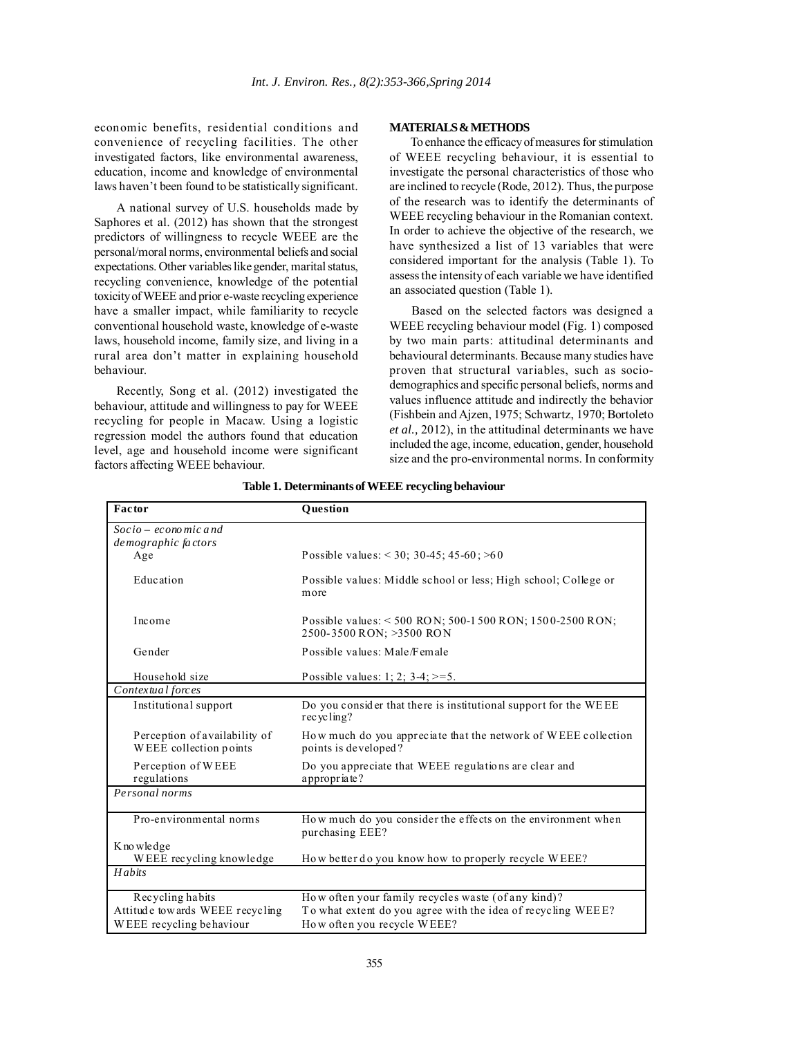economic benefits, residential conditions and convenience of recycling facilities. The other investigated factors, like environmental awareness, education, income and knowledge of environmental laws haven't been found to be statistically significant.

A national survey of U.S. households made by Saphores et al. (2012) has shown that the strongest predictors of willingness to recycle WEEE are the personal/moral norms, environmental beliefs and social expectations. Other variables like gender, marital status, recycling convenience, knowledge of the potential toxicity of WEEE and prior e-waste recycling experience have a smaller impact, while familiarity to recycle conventional household waste, knowledge of e-waste laws, household income, family size, and living in a rural area don't matter in explaining household behaviour.

Recently, Song et al. (2012) investigated the behaviour, attitude and willingness to pay for WEEE recycling for people in Macaw. Using a logistic regression model the authors found that education level, age and household income were significant factors affecting WEEE behaviour.

### **MATERIALS & METHODS**

To enhance the efficacy of measures for stimulation of WEEE recycling behaviour, it is essential to investigate the personal characteristics of those who are inclined to recycle (Rode, 2012). Thus, the purpose of the research was to identify the determinants of WEEE recycling behaviour in the Romanian context. In order to achieve the objective of the research, we have synthesized a list of 13 variables that were considered important for the analysis (Table 1). To assess the intensity of each variable we have identified an associated question (Table 1).

Based on the selected factors was designed a WEEE recycling behaviour model (Fig. 1) composed by two main parts: attitudinal determinants and behavioural determinants. Because many studies have proven that structural variables, such as sociodemographics and specific personal beliefs, norms and values influence attitude and indirectly the behavior (Fishbein and Ajzen, 1975; Schwartz, 1970; Bortoleto *et al.,* 2012), in the attitudinal determinants we have included the age, income, education, gender, household size and the pro-environmental norms. In conformity

| Factor                                                  | <b>Ouestion</b>                                                                        |  |
|---------------------------------------------------------|----------------------------------------------------------------------------------------|--|
| $Socio-econo$ mic and                                   |                                                                                        |  |
| demographic factors                                     |                                                                                        |  |
| Age                                                     | Possible values: $<$ 30; 30-45; 45-60; $>60$                                           |  |
| Education                                               | Possible values: Middle school or less; High school; College or<br>more                |  |
| Income                                                  | Possible values: < 500 RON; 500-1500 RON; 1500-2500 RON;<br>2500-3500 RON; >3500 RON   |  |
| Gender                                                  | Possible values: Male/Female                                                           |  |
| Household size                                          | Possible values: 1; 2; $3-4$ ; $> = 5$ .                                               |  |
| Contextual forces                                       |                                                                                        |  |
| Institutional support                                   | Do you consider that there is institutional support for the WEEE<br>recycling?         |  |
| Perception of availability of<br>WEEE collection points | How much do you appreciate that the network of WEEE collection<br>points is developed? |  |
| Perception of WEEE<br>regulations                       | Do you appreciate that WEEE regulations are clear and<br>appropriate?                  |  |
| Personal norms                                          |                                                                                        |  |
| Pro-environmental norms                                 | How much do you consider the effects on the environment when<br>purchasing EEE?        |  |
| K no wledge                                             |                                                                                        |  |
| WEEE recycling knowledge                                | How better do you know how to properly recycle WEEE?                                   |  |
| $H$ abits                                               |                                                                                        |  |
| Recycling habits                                        | How often your family recycles waste (of any kind)?                                    |  |
| Attitude towards WEEE recycling                         | To what extent do you agree with the idea of recycling WEEE?                           |  |
| WEEE recycling behaviour                                | How often you recycle WEEE?                                                            |  |

**Table 1. Determinants of WEEE recycling behaviour**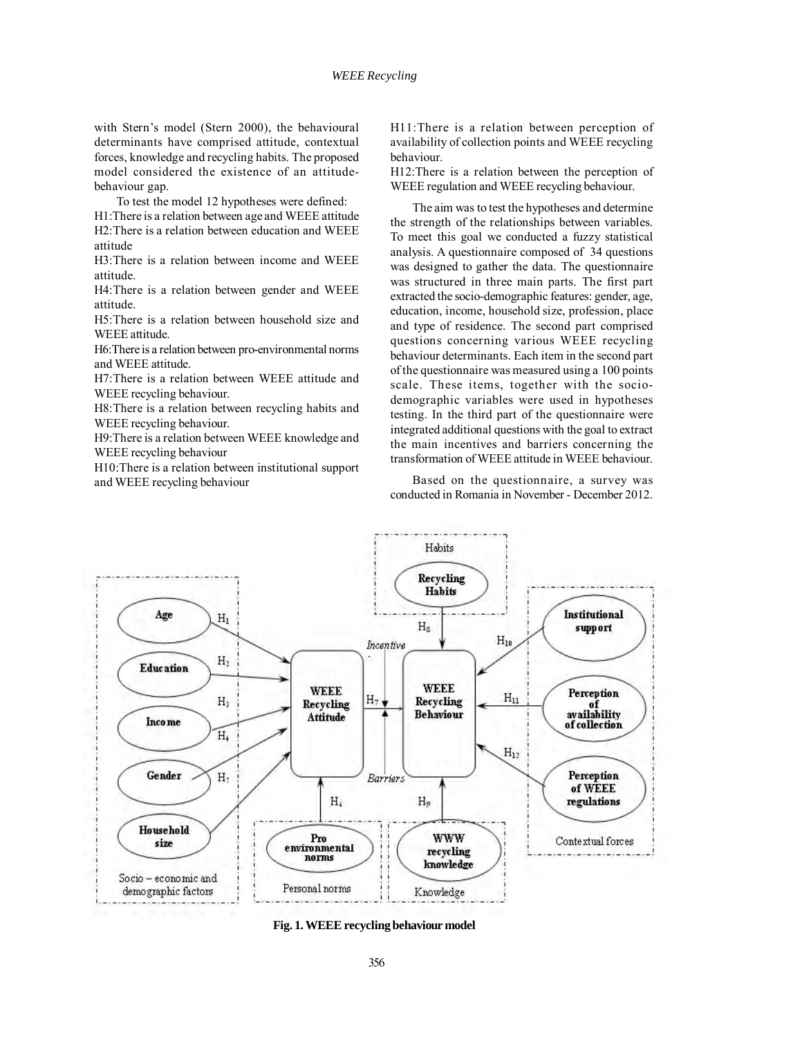with Stern's model (Stern 2000), the behavioural determinants have comprised attitude, contextual forces, knowledge and recycling habits. The proposed model considered the existence of an attitudebehaviour gap.

To test the model 12 hypotheses were defined:

H1:There is a relation between age and WEEE attitude H2:There is a relation between education and WEEE attitude

H3:There is a relation between income and WEEE attitude.

H4:There is a relation between gender and WEEE attitude.

H5:There is a relation between household size and WEEE attitude.

H6:There is a relation between pro-environmental norms and WEEE attitude.

H7:There is a relation between WEEE attitude and WEEE recycling behaviour.

H8:There is a relation between recycling habits and WEEE recycling behaviour.

H9:There is a relation between WEEE knowledge and WEEE recycling behaviour

H10:There is a relation between institutional support and WEEE recycling behaviour

H11:There is a relation between perception of availability of collection points and WEEE recycling behaviour.

H12:There is a relation between the perception of WEEE regulation and WEEE recycling behaviour.

The aim was to test the hypotheses and determine the strength of the relationships between variables. To meet this goal we conducted a fuzzy statistical analysis. A questionnaire composed of 34 questions was designed to gather the data. The questionnaire was structured in three main parts. The first part extracted the socio-demographic features: gender, age, education, income, household size, profession, place and type of residence. The second part comprised questions concerning various WEEE recycling behaviour determinants. Each item in the second part of the questionnaire was measured using a 100 points scale. These items, together with the sociodemographic variables were used in hypotheses testing. In the third part of the questionnaire were integrated additional questions with the goal to extract the main incentives and barriers concerning the transformation of WEEE attitude in WEEE behaviour.

Based on the questionnaire, a survey was conducted in Romania in November - December 2012.



**Fig. 1. WEEE recycling behaviour model**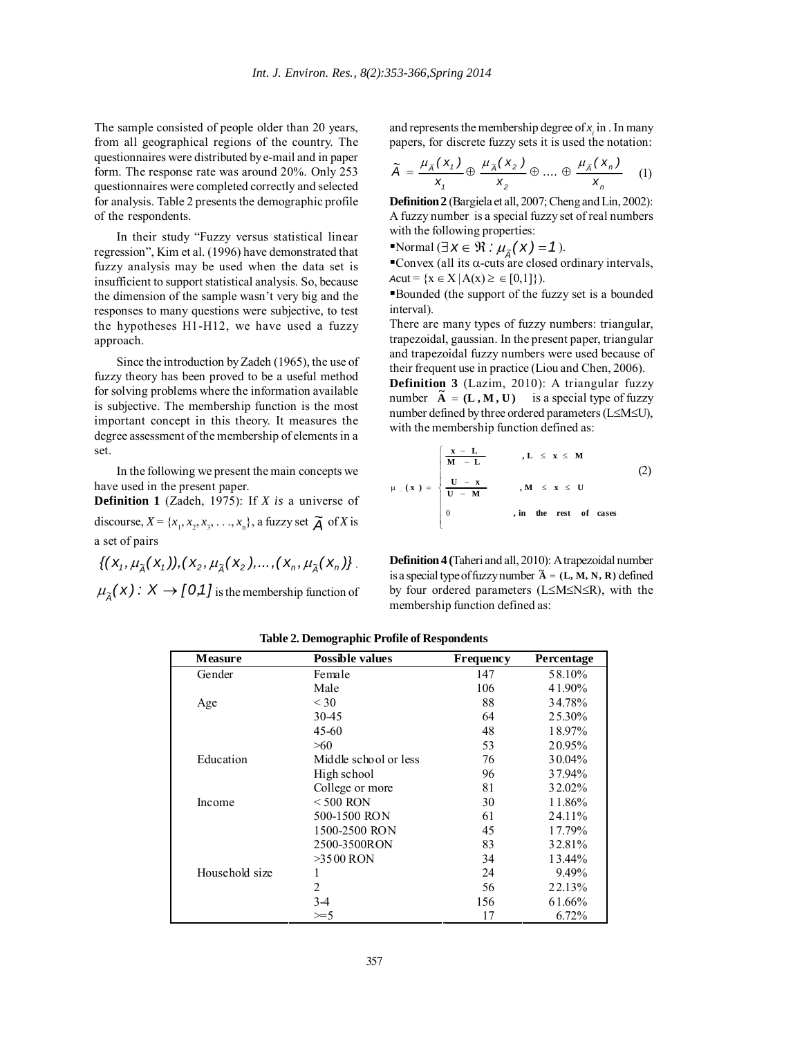The sample consisted of people older than 20 years, from all geographical regions of the country. The questionnaires were distributed by e-mail and in paper form. The response rate was around 20%. Only 253 questionnaires were completed correctly and selected for analysis. Table 2 presents the demographic profile of the respondents.

In their study "Fuzzy versus statistical linear regression", Kim et al. (1996) have demonstrated that fuzzy analysis may be used when the data set is insufficient to support statistical analysis. So, because the dimension of the sample wasn't very big and the responses to many questions were subjective, to test the hypotheses H1-H12, we have used a fuzzy approach.

Since the introduction by Zadeh (1965), the use of fuzzy theory has been proved to be a useful method for solving problems where the information available is subjective. The membership function is the most important concept in this theory. It measures the degree assessment of the membership of elements in a set.

In the following we present the main concepts we have used in the present paper.

**Definition 1** (Zadeh, 1975): If *X is* a universe of discourse,  $X = \{x_1, x_2, x_3, \dots, x_n\}$ , a fuzzy set  $\tilde{A}$  of *X* is a set of pairs

 $\{(X_1,\mu_{\tilde{\lambda}}(X_1)), (X_2,\mu_{\tilde{\lambda}}(X_2),..., (X_n,\mu_{\tilde{\lambda}}(X_n))\}.$ 

 $\mu_{\tilde{A}}(x) : X \to [0,1]$  is the membership function of

and represents the membership degree of  $x_i$  in . In many papers, for discrete fuzzy sets it is used the notation:

$$
\widetilde{A} = \frac{\mu_{\widetilde{A}}(x_1)}{x_1} \oplus \frac{\mu_{\widetilde{A}}(x_2)}{x_2} \oplus \dots \oplus \frac{\mu_{\widetilde{A}}(x_n)}{x_n} \quad (1)
$$

**Definition 2** (Bargiela et all, 2007; Cheng and Lin, 2002): A fuzzy number is a special fuzzy set of real numbers with the following properties:

Normal  $(\exists x \in \mathcal{R} : \mu_{\tilde{A}}(x) = 1).$ 

**• Convex (all its α-cuts are closed ordinary intervals,** *Acut* = { $x \in X | A(x) \ge \in [0,1]$ }).

Bounded (the support of the fuzzy set is a bounded interval).

There are many types of fuzzy numbers: triangular, trapezoidal, gaussian. In the present paper, triangular and trapezoidal fuzzy numbers were used because of their frequent use in practice (Liou and Chen, 2006).

**Definition 3** (Lazim, 2010): A triangular fuzzy **A**  $\bullet$  **COLUTER**  $\bullet$  **COLUTER**  $\bullet$  **A**  $\bullet$  **COLUTER**  $\bullet$  **A**  $\bullet$  **COLUTER**  $\bullet$  **A**  $\bullet$  **COLUTER**  $\bullet$  **COLUTER**  $\bullet$  **COLUTER**  $\bullet$  **COLUTER**  $\bullet$  **COLUTER**  $\bullet$  **COLUTER**  $\bullet$  **COLUTER**  $\bullet$  **COLUTER**  $\bullet$  **COLU** number defined by three ordered parameters (L≤M≤U), with the membership function defined as:

$$
\mu \cdot (x) = \begin{cases}\n\frac{x - L}{M - L} & , L \leq x \leq M \\
\frac{U - x}{U - M} & , M \leq x \leq U \\
0 & , in the rest of cases\n\end{cases}
$$
\n(2)

**Definition 4 (**Taheri and all, 2010): A trapezoidal number is a special type of fuzzy number  $\tilde{A} = (L, M, N, R)$  defined by four ordered parameters (L≤M≤N≤R), with the membership function defined as:

| <b>Measure</b> | <b>Possible values</b> | Frequency | Percentage |
|----------------|------------------------|-----------|------------|
| Gender         | Female                 | 147       | 58.10%     |
|                | Male                   | 106       | 41.90%     |
| Age            | $<$ 30                 | 88        | 34.78%     |
|                | 30-45                  | 64        | 25.30%     |
|                | $45 - 60$              | 48        | 18.97%     |
|                | >60                    | 53        | 20.95%     |
| Education      | Middle school or less  | 76        | 30.04%     |
|                | High school            | 96        | 37.94%     |
|                | College or more        | 81        | 32.02%     |
| Income         | $<$ 500 RON            | 30        | 11.86%     |
|                | 500-1500 RON           | 61        | 24.11%     |
|                | 1500-2500 RON          | 45        | 17.79%     |
|                | 2500-3500RON           | 83        | 32.81%     |
|                | $>3500$ RON            | 34        | 13.44%     |
| Household size |                        | 24        | 9.49%      |
|                | $\overline{2}$         | 56        | 22.13%     |
|                | $3-4$                  | 156       | 61.66%     |
|                | $\geq 5$               | 17        | 6.72%      |

**Table 2. Demographic Profile of Respondents**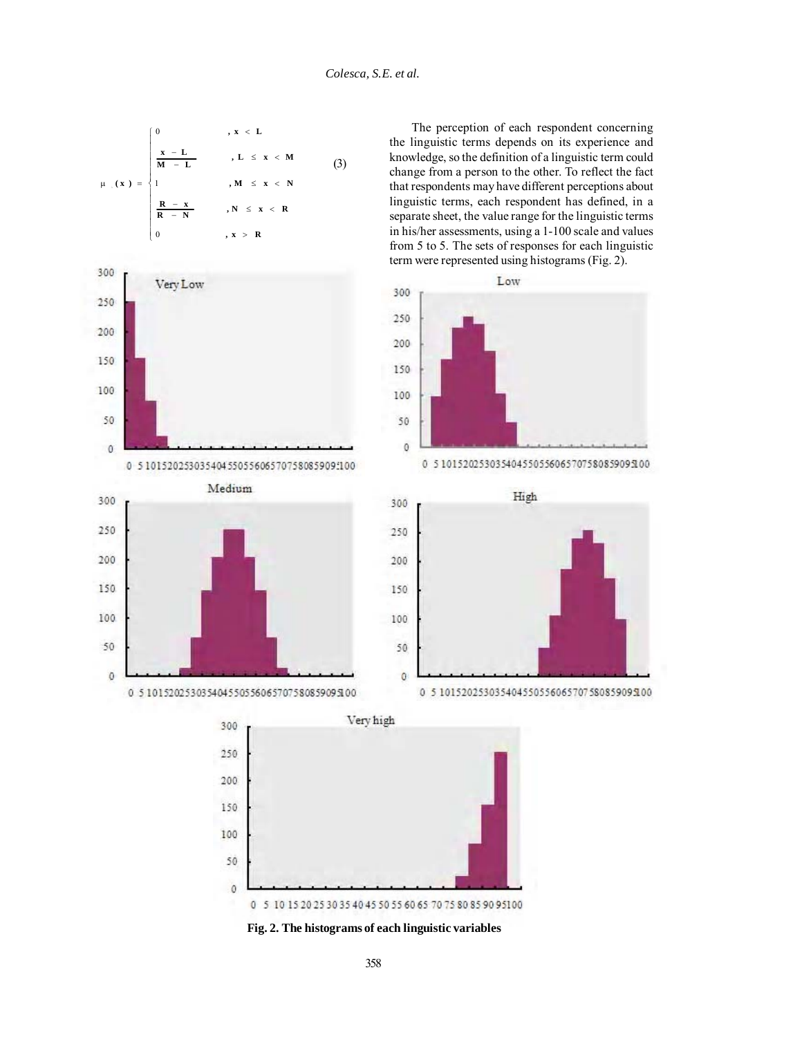



Medium

0 5 101520253035404550556065707580859095100

300

250

200

150

100

50

 $\mathbf{0}$ 

The perception of each respondent concerning the linguistic terms depends on its experience and knowledge, so the definition of a linguistic term could change from a person to the other. To reflect the fact that respondents may have different perceptions about linguistic terms, each respondent has defined, in a separate sheet, the value range for the linguistic terms in his/her assessments, using a 1-100 scale and values from 5 to 5. The sets of responses for each linguistic term were represented using histograms (Fig. 2).











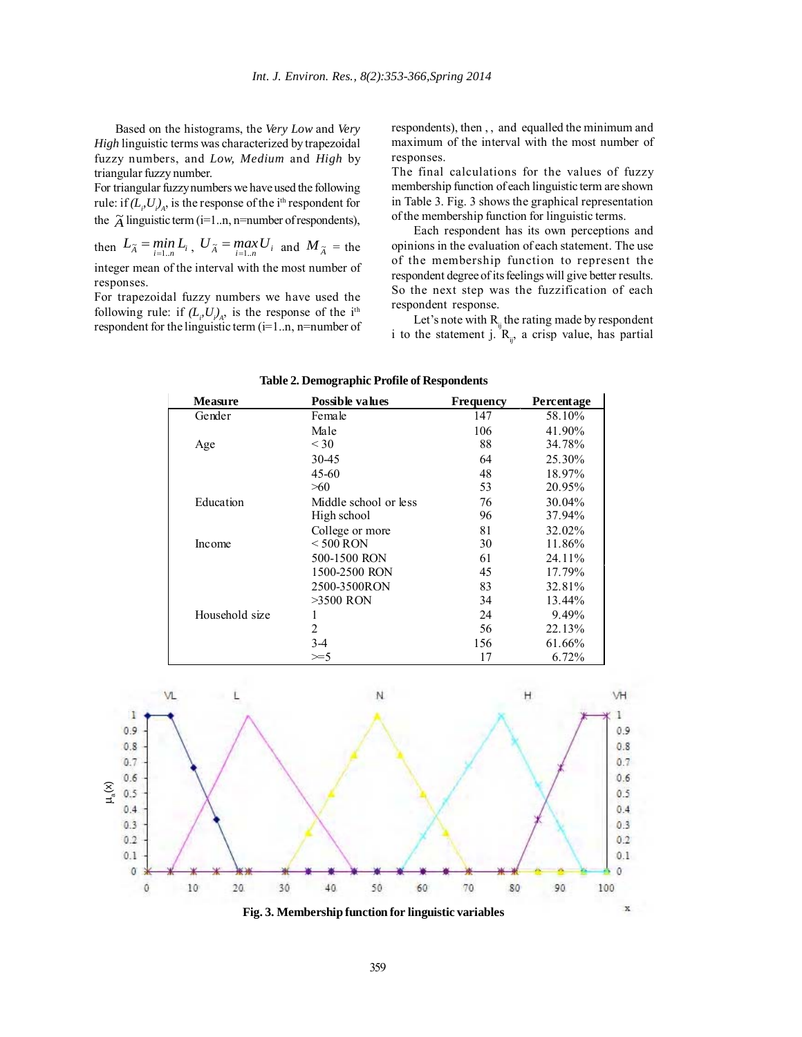Based on the histograms, the *Very Low* and *Very High* linguistic terms was characterized by trapezoidal fuzzy numbers, and *Low, Medium* and *High* by triangular fuzzy number.

For triangular fuzzy numbers we have used the following rule: if  $(L_p U_i)_{A}$ , is the response of the i<sup>th</sup> respondent for the  $\tilde{A}$  linguistic term (i=1..n, n=number of respondents),

then  $L_{\tilde{A}} = \min_{i=1...n} L_i$ ,  $U_{\tilde{A}} = \max_{i=1...n} U_i$  and  $M_{\tilde{A}} =$  the integer mean of the interval with the most number of responses.

For trapezoidal fuzzy numbers we have used the following rule: if  $(L_p U_i)_{A}$ , is the response of the i<sup>th</sup> respondent for the linguistic term (i=1..n, n=number of

respondents), then , , and equalled the minimum and maximum of the interval with the most number of responses.

The final calculations for the values of fuzzy membership function of each linguistic term are shown in Table 3. Fig. 3 shows the graphical representation of the membership function for linguistic terms.

Each respondent has its own perceptions and opinions in the evaluation of each statement. The use of the membership function to represent the respondent degree of its feelings will give better results. So the next step was the fuzzification of each respondent response.

Let's note with  $R_{ii}$  the rating made by respondent i to the statement j.  $R_{ii}$ , a crisp value, has partial

| <b>Measure</b> | Possible values       | Frequency | <b>Percentage</b> |
|----------------|-----------------------|-----------|-------------------|
| Gender         | Female                | 147       | 58.10%            |
|                | Male                  | 106       | 41.90%            |
| Age            | $<$ 30                | 88        | 34.78%            |
|                | 30-45                 | 64        | 25.30%            |
|                | $45 - 60$             | 48        | 18.97%            |
|                | >60                   | 53        | 20.95%            |
| Education      | Middle school or less | 76        | 30.04%            |
|                | High school           | 96        | 37.94%            |
|                | College or more       | 81        | 32.02%            |
| Income         | $<$ 500 RON           | 30        | 11.86%            |
|                | 500-1500 RON          | 61        | 24.11%            |
|                | 1500-2500 RON         | 45        | 17.79%            |
|                | 2500-3500RON          | 83        | 32.81%            |
|                | >3500 RON             | 34        | 13.44%            |
| Household size | ı                     | 24        | 9.49%             |
|                | 2                     | 56        | 22.13%            |
|                | $3-4$                 | 156       | 61.66%            |
|                | $\geq 5$              | 17        | 6.72%             |



359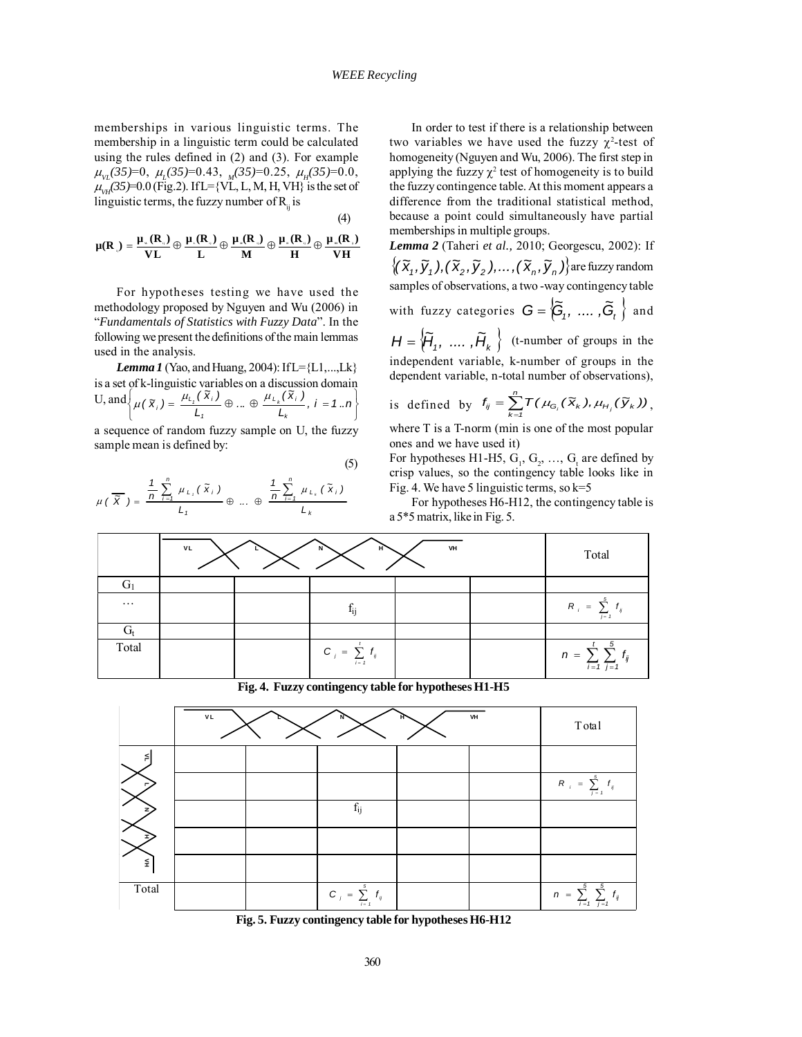memberships in various linguistic terms. The membership in a linguistic term could be calculated using the rules defined in (2) and (3). For example <sup>µ</sup> *VL(35)*=0, <sup>µ</sup>*L(35)*=0.43, *M(35)*=0.25, <sup>µ</sup> *<sup>H</sup>(35)*=0.0,  $\mu_{VH}^2(35)=0.0$  (Fig.2). If L={VL, L, M, H, VH} is the set of linguistic terms, the fuzzy number of  $R<sub>ii</sub>$  is

$$
(\mathbf{4})
$$

$$
\mu(R_{\text{u}})=\frac{\mu_{\text{u}}(R_{\text{u}})}{VL} \oplus \frac{\mu_{\text{u}}(R_{\text{u}})}{L} \oplus \frac{\mu_{\text{u}}(R_{\text{u}})}{M} \oplus \frac{\mu_{\text{u}}(R_{\text{u}})}{H} \oplus \frac{\mu_{\text{u}}(R_{\text{u}})}{VH}
$$

For hypotheses testing we have used the methodology proposed by Nguyen and Wu (2006) in "*Fundamentals of Statistics with Fuzzy Data*". In the following we present the definitions of the main lemmas used in the analysis.

*Lemma 1 (Yao, and Huang, 2004): If L*={L1,...,Lk} is a set of k-linguistic variables on a discussion domain U, and ⎭  $\downarrow$ ⎩  $\left\{ \mu(\mathbf{X}_i) = \frac{\mu_{l_i}(\mathbf{X}_i)}{L_i} \oplus ... \oplus \frac{\mu_{l_k}(\mathbf{X}_i)}{L_k}, i = 1..n \right\}$ *L i 1*  $\mu(\mathbf{X}_i) = \frac{\mu_{L_i}(\mathbf{X}_i)}{I} \oplus ... \oplus \frac{\mu_{L_k}}{I}$ 

a sequence of random fuzzy sample on U, the fuzzy sample mean is defined by:

(5)

$$
\mu\left(\overline{X}\right) = \frac{\frac{1}{n}\sum_{i=1}^{n}\mu_{L_i}\left(\tilde{X}_i\right)}{L_i} \oplus \dots \oplus \frac{\frac{1}{n}\sum_{i=1}^{n}\mu_{L_k}\left(\tilde{X}_i\right)}{L_k}
$$

In order to test if there is a relationship between two variables we have used the fuzzy  $\chi^2$ -test of homogeneity (Nguyen and Wu, 2006). The first step in applying the fuzzy  $\chi^2$  test of homogeneity is to build the fuzzy contingence table. At this moment appears a difference from the traditional statistical method, because a point could simultaneously have partial memberships in multiple groups.

*Lemma 2* (Taheri *et al.,* 2010; Georgescu, 2002): If  $\big\{(\widetilde{\mathsf{x}}_1,\widetilde{\mathsf{y}}_1),(\widetilde{\mathsf{x}}_2,\widetilde{\mathsf{y}}_2),\ldots,(\widetilde{\mathsf{x}}_n,\widetilde{\mathsf{y}}_n)\big\}$  are fuzzy random samples of observations, a two -way contingency table with fuzzy categories  $\cap$   $\begin{matrix} \kappa & \kappa \end{matrix}$ 

with fuzzy categories 
$$
\mathbf{G} = \{G_1, \ldots, G_t\}
$$
 and

 ${H} = \{ \overline{H}_1, \ldots, \overline{H}_k \}$  (t-number of groups in the independent variable, k-number of groups in the dependent variable, n-total number of observations),

is defined by 
$$
f_{ij} = \sum_{k=1}^{n} T(\mu_{G_i}(\tilde{\mathbf{x}}_k), \mu_{H_j}(\tilde{\mathbf{y}}_k))
$$
,

where T is a T-norm (min is one of the most popular ones and we have used it)

For hypotheses H1-H5,  $G_1$ ,  $G_2$ , ...,  $G_t$  are defined by crisp values, so the contingency table looks like in Fig. 4. We have 5 linguistic terms, so  $k=5$ 

For hypotheses H6-H12, the contingency table is a 5\*5 matrix, like in Fig. 5.



**Fig. 4. Fuzzy contingency table for hypotheses H1-H5**

|        | VL<br>VH |  |                                                 |  | Total |                                                           |
|--------|----------|--|-------------------------------------------------|--|-------|-----------------------------------------------------------|
|        |          |  |                                                 |  |       |                                                           |
| ┍      |          |  |                                                 |  |       | $R_{i} = \sum_{j=1}^{5} f_{ij}$                           |
|        |          |  | $f_{ij}$                                        |  |       |                                                           |
|        |          |  |                                                 |  |       |                                                           |
| $\leq$ |          |  |                                                 |  |       |                                                           |
| Total  |          |  | $C_j = \sum_{j=1}^{5} f_{ij}$<br>$\overline{1}$ |  |       | $n = \sum_{i=1}^{5} \sum_{j=1}^{5} t_{ij}$<br>ದ≀<br>/ ≡ 1 |

**Fig. 5. Fuzzy contingency table for hypotheses H6-H12**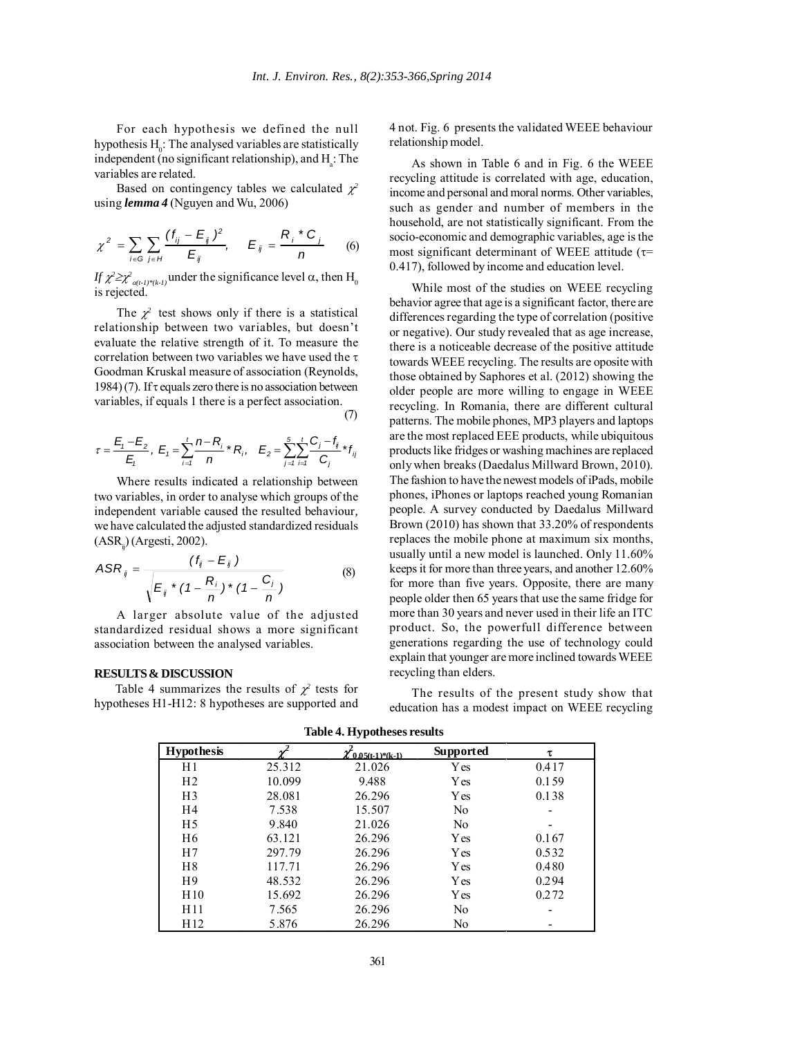For each hypothesis we defined the null hypothesis  $H_0$ : The analysed variables are statistically independent (no significant relationship), and  $H_a$ : The variables are related.

Based on contingency tables we calculated  $\chi^2$ using *lemma 4* (Nguyen and Wu, 2006)

$$
\chi^{2} = \sum_{i \in G} \sum_{j \in H} \frac{(f_{ij} - E_{ij})^{2}}{E_{ij}}, \quad E_{ij} = \frac{R_{i} * C_{j}}{n}
$$
 (6)

*If*  $\chi^2 \ge \chi^2_{\alpha(t-1)^*(k-1)}$  under the significance level  $\alpha$ , then  $H_0$ is rejected.

The  $\chi^2$  test shows only if there is a statistical relationship between two variables, but doesn't evaluate the relative strength of it. To measure the correlation between two variables we have used the τ Goodman Kruskal measure of association (Reynolds, 1984) (7). If  $\tau$  equals zero there is no association between variables, if equals 1 there is a perfect association. (7)

$$
\tau = \frac{E_i - E_2}{E_i}, \ E_i = \sum_{i=1}^t \frac{n - R_i}{n} * R_i, \quad E_2 = \sum_{j=1}^5 \sum_{i=1}^t \frac{C_j - f_j}{C_j} * f_{ij}
$$

Where results indicated a relationship between two variables, in order to analyse which groups of the independent variable caused the resulted behaviour*,* we have calculated the adjusted standardized residuals  $(ASR<sub>i</sub>)$  (Argesti, 2002).

$$
ASR_{ij} = \frac{(f_{ij} - E_{ij})}{\sqrt{E_{ij} * (1 - \frac{R_i}{n}) * (1 - \frac{C_j}{n})}}
$$
(8)

A larger absolute value of the adjusted standardized residual shows a more significant association between the analysed variables.

#### **RESULTS & DISCUSSION**

Table 4 summarizes the results of  $\chi^2$  tests for hypotheses H1-H12: 8 hypotheses are supported and 4 not. Fig. 6 presents the validated WEEE behaviour relationship model.

As shown in Table 6 and in Fig. 6 the WEEE recycling attitude is correlated with age, education, income and personal and moral norms. Other variables, such as gender and number of members in the household, are not statistically significant. From the socio-economic and demographic variables, age is the most significant determinant of WEEE attitude ( $\tau$ = 0.417), followed by income and education level.

While most of the studies on WEEE recycling behavior agree that age is a significant factor, there are differences regarding the type of correlation (positive or negative). Our study revealed that as age increase, there is a noticeable decrease of the positive attitude towards WEEE recycling. The results are oposite with those obtained by Saphores et al. (2012) showing the older people are more willing to engage in WEEE recycling. In Romania, there are different cultural patterns. The mobile phones, MP3 players and laptops are the most replaced EEE products, while ubiquitous products like fridges or washing machines are replaced only when breaks (Daedalus Millward Brown, 2010). The fashion to have the newest models of iPads, mobile phones, iPhones or laptops reached young Romanian people. A survey conducted by Daedalus Millward Brown (2010) has shown that 33.20% of respondents replaces the mobile phone at maximum six months, usually until a new model is launched. Only 11.60% keeps it for more than three years, and another 12.60% for more than five years. Opposite, there are many people older then 65 years that use the same fridge for more than 30 years and never used in their life an ITC product. So, the powerfull difference between generations regarding the use of technology could explain that younger are more inclined towards WEEE recycling than elders.

The results of the present study show that education has a modest impact on WEEE recycling

| <b>Hypothesis</b> |        | $\chi$ 0.05(t 1)*(k-1). | Supported   | τ     |
|-------------------|--------|-------------------------|-------------|-------|
| H1                | 25.312 | 21.026                  | Y es        | 0.417 |
| H <sub>2</sub>    | 10.099 | 9.488                   | Y es        | 0.159 |
| H <sub>3</sub>    | 28.081 | 26.296                  | <b>Y</b> es | 0.138 |
| H4                | 7.538  | 15.507                  | No          |       |
| H <sub>5</sub>    | 9.840  | 21.026                  | No          |       |
| H <sub>6</sub>    | 63.121 | 26.296                  | Y es        | 0.167 |
| H7                | 297.79 | 26.296                  | <b>Y</b> es | 0.532 |
| H <sup>8</sup>    | 117.71 | 26.296                  | Y es        | 0.480 |
| H <sub>9</sub>    | 48.532 | 26.296                  | <b>Y</b> es | 0.294 |
| H10               | 15.692 | 26.296                  | Y es        | 0.272 |
| H11               | 7.565  | 26.296                  | No          |       |
| H <sub>12</sub>   | 5.876  | 26.296                  | No          |       |

**Table 4. Hypotheses results**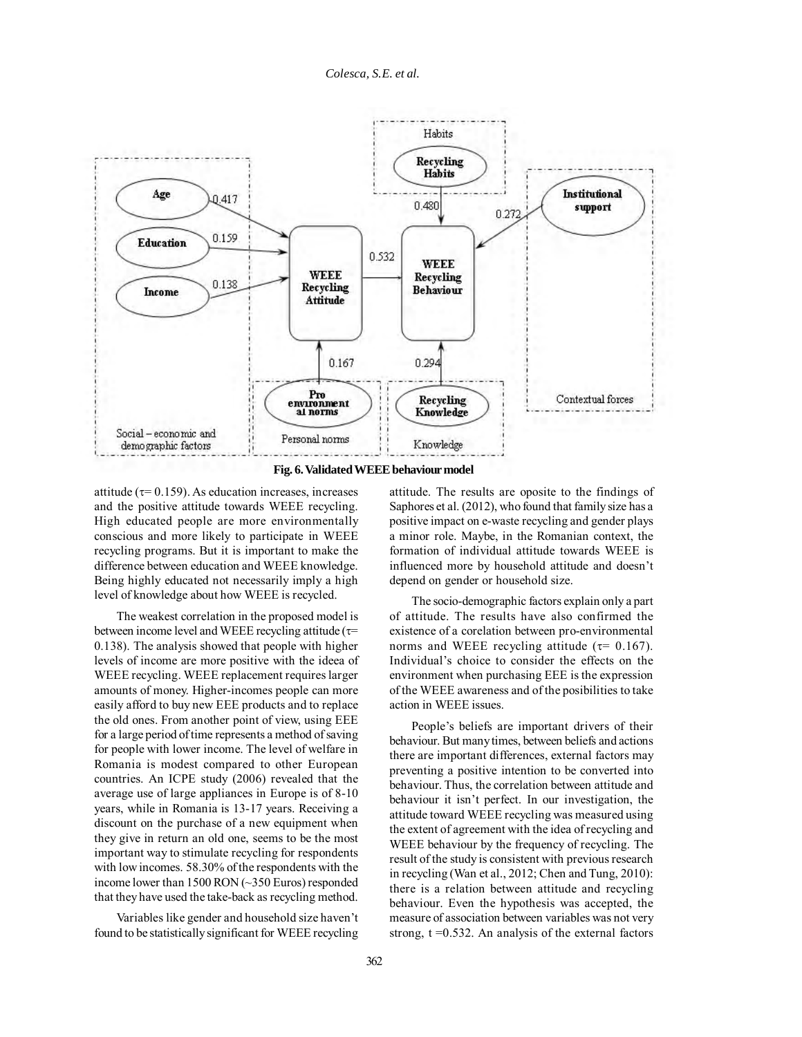

**Fig. 6. Validated WEEE behaviour model**

attitude ( $\tau$ = 0.159). As education increases, increases and the positive attitude towards WEEE recycling. High educated people are more environmentally conscious and more likely to participate in WEEE recycling programs. But it is important to make the difference between education and WEEE knowledge. Being highly educated not necessarily imply a high level of knowledge about how WEEE is recycled.

The weakest correlation in the proposed model is between income level and WEEE recycling attitude  $(\tau=$ 0.138). The analysis showed that people with higher levels of income are more positive with the ideea of WEEE recycling. WEEE replacement requires larger amounts of money. Higher-incomes people can more easily afford to buy new EEE products and to replace the old ones. From another point of view, using EEE for a large period of time represents a method of saving for people with lower income. The level of welfare in Romania is modest compared to other European countries. An ICPE study (2006) revealed that the average use of large appliances in Europe is of 8-10 years, while in Romania is 13-17 years. Receiving a discount on the purchase of a new equipment when they give in return an old one, seems to be the most important way to stimulate recycling for respondents with low incomes. 58.30% of the respondents with the income lower than 1500 RON (~350 Euros) responded that they have used the take-back as recycling method.

Variables like gender and household size haven't found to be statistically significant for WEEE recycling

attitude. The results are oposite to the findings of Saphores et al. (2012), who found that family size has a positive impact on e-waste recycling and gender plays a minor role. Maybe, in the Romanian context, the formation of individual attitude towards WEEE is influenced more by household attitude and doesn't depend on gender or household size.

The socio-demographic factors explain only a part of attitude. The results have also confirmed the existence of a corelation between pro-environmental norms and WEEE recycling attitude ( $\tau$ = 0.167). Individual's choice to consider the effects on the environment when purchasing EEE is the expression of the WEEE awareness and of the posibilities to take action in WEEE issues.

People's beliefs are important drivers of their behaviour. But many times, between beliefs and actions there are important differences, external factors may preventing a positive intention to be converted into behaviour. Thus, the correlation between attitude and behaviour it isn't perfect. In our investigation, the attitude toward WEEE recycling was measured using the extent of agreement with the idea of recycling and WEEE behaviour by the frequency of recycling. The result of the study is consistent with previous research in recycling (Wan et al., 2012; Chen and Tung, 2010): there is a relation between attitude and recycling behaviour. Even the hypothesis was accepted, the measure of association between variables was not very strong,  $t = 0.532$ . An analysis of the external factors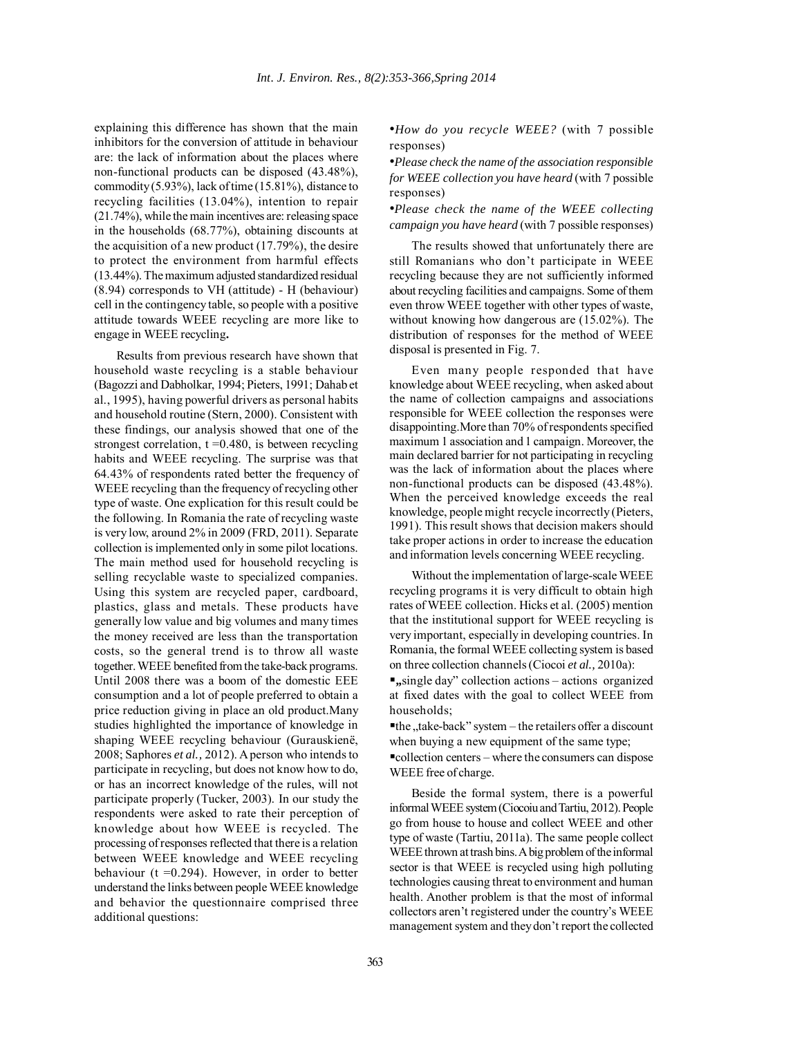explaining this difference has shown that the main inhibitors for the conversion of attitude in behaviour are: the lack of information about the places where non-functional products can be disposed (43.48%), commodity (5.93%), lack of time (15.81%), distance to recycling facilities (13.04%), intention to repair (21.74%), while the main incentives are: releasing space in the households (68.77%), obtaining discounts at the acquisition of a new product (17.79%), the desire to protect the environment from harmful effects (13.44%). The maximum adjusted standardized residual (8.94) corresponds to VH (attitude) - H (behaviour) cell in the contingency table, so people with a positive attitude towards WEEE recycling are more like to engage in WEEE recycling**.**

Results from previous research have shown that household waste recycling is a stable behaviour (Bagozzi and Dabholkar, 1994; Pieters, 1991; Dahab et al., 1995), having powerful drivers as personal habits and household routine (Stern, 2000). Consistent with these findings, our analysis showed that one of the strongest correlation,  $t = 0.480$ , is between recycling habits and WEEE recycling. The surprise was that 64.43% of respondents rated better the frequency of WEEE recycling than the frequency of recycling other type of waste. One explication for this result could be the following. In Romania the rate of recycling waste is very low, around 2% in 2009 (FRD, 2011). Separate collection is implemented only in some pilot locations. The main method used for household recycling is selling recyclable waste to specialized companies. Using this system are recycled paper, cardboard, plastics, glass and metals. These products have generally low value and big volumes and many times the money received are less than the transportation costs, so the general trend is to throw all waste together. WEEE benefited from the take-back programs. Until 2008 there was a boom of the domestic EEE consumption and a lot of people preferred to obtain a price reduction giving in place an old product.Many studies highlighted the importance of knowledge in shaping WEEE recycling behaviour (Gurauskienë, 2008; Saphores *et al.,* 2012). A person who intends to participate in recycling, but does not know how to do, or has an incorrect knowledge of the rules, will not participate properly (Tucker, 2003). In our study the respondents were asked to rate their perception of knowledge about how WEEE is recycled. The processing of responses reflected that there is a relation between WEEE knowledge and WEEE recycling behaviour ( $t = 0.294$ ). However, in order to better understand the links between people WEEE knowledge and behavior the questionnaire comprised three additional questions:

•*How do you recycle WEEE?* (with 7 possible responses)

•*Please check the name of the association responsible for WEEE collection you have heard* (with 7 possible responses)

•*Please check the name of the WEEE collecting campaign you have heard* (with 7 possible responses)

The results showed that unfortunately there are still Romanians who don't participate in WEEE recycling because they are not sufficiently informed about recycling facilities and campaigns. Some of them even throw WEEE together with other types of waste, without knowing how dangerous are (15.02%). The distribution of responses for the method of WEEE disposal is presented in Fig. 7.

Even many people responded that have knowledge about WEEE recycling, when asked about the name of collection campaigns and associations responsible for WEEE collection the responses were disappointing.More than 70% of respondents specified maximum 1 association and 1 campaign. Moreover, the main declared barrier for not participating in recycling was the lack of information about the places where non-functional products can be disposed (43.48%). When the perceived knowledge exceeds the real knowledge, people might recycle incorrectly (Pieters, 1991). This result shows that decision makers should take proper actions in order to increase the education and information levels concerning WEEE recycling.

Without the implementation of large-scale WEEE recycling programs it is very difficult to obtain high rates of WEEE collection. Hicks et al. (2005) mention that the institutional support for WEEE recycling is very important, especially in developing countries. In Romania, the formal WEEE collecting system is based on three collection channels (Ciocoi *et al.,* 2010a):

**"**, single day" collection actions – actions organized at fixed dates with the goal to collect WEEE from households;

 $e$ the "take-back" system – the retailers offer a discount when buying a new equipment of the same type;

collection centers – where the consumers can dispose WEEE free of charge.

Beside the formal system, there is a powerful informal WEEE system (Ciocoiu and Tartiu, 2012). People go from house to house and collect WEEE and other type of waste (Tartiu, 2011a). The same people collect WEEE thrown at trash bins. A big problem of the informal sector is that WEEE is recycled using high polluting technologies causing threat to environment and human health. Another problem is that the most of informal collectors aren't registered under the country's WEEE management system and they don't report the collected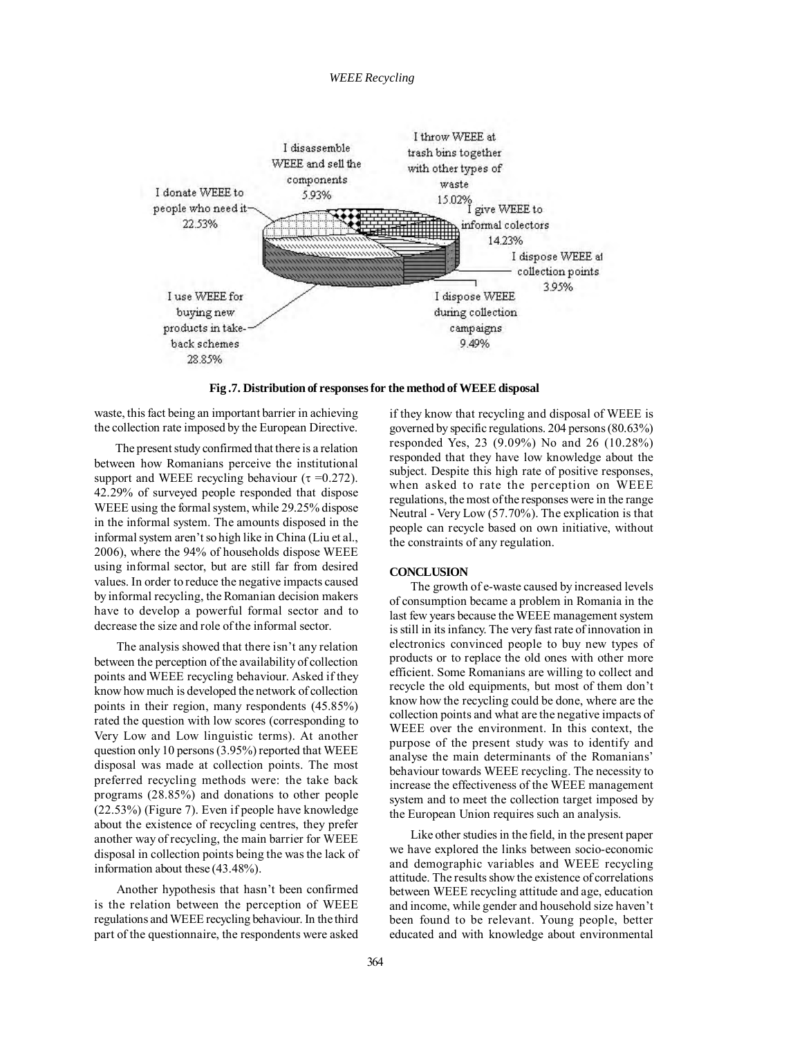## *WEEE Recycling*



**Fig .7. Distribution of responses for the method of WEEE disposal**

waste, this fact being an important barrier in achieving the collection rate imposed by the European Directive.

The present study confirmed that there is a relation between how Romanians perceive the institutional support and WEEE recycling behaviour ( $\tau = 0.272$ ). 42.29% of surveyed people responded that dispose WEEE using the formal system, while 29.25% dispose in the informal system. The amounts disposed in the informal system aren't so high like in China (Liu et al., 2006), where the 94% of households dispose WEEE using informal sector, but are still far from desired values. In order to reduce the negative impacts caused by informal recycling, the Romanian decision makers have to develop a powerful formal sector and to decrease the size and role of the informal sector.

The analysis showed that there isn't any relation between the perception of the availability of collection points and WEEE recycling behaviour. Asked if they know how much is developed the network of collection points in their region, many respondents (45.85%) rated the question with low scores (corresponding to Very Low and Low linguistic terms). At another question only 10 persons (3.95%) reported that WEEE disposal was made at collection points. The most preferred recycling methods were: the take back programs (28.85%) and donations to other people (22.53%) (Figure 7). Even if people have knowledge about the existence of recycling centres, they prefer another way of recycling, the main barrier for WEEE disposal in collection points being the was the lack of information about these (43.48%).

Another hypothesis that hasn't been confirmed is the relation between the perception of WEEE regulations and WEEE recycling behaviour. In the third part of the questionnaire, the respondents were asked

if they know that recycling and disposal of WEEE is governed by specific regulations. 204 persons (80.63%) responded Yes, 23 (9.09%) No and 26 (10.28%) responded that they have low knowledge about the subject. Despite this high rate of positive responses, when asked to rate the perception on WEEE regulations, the most of the responses were in the range Neutral - Very Low (57.70%). The explication is that people can recycle based on own initiative, without the constraints of any regulation.

# **CONCLUSION**

The growth of e-waste caused by increased levels of consumption became a problem in Romania in the last few years because the WEEE management system is still in its infancy. The very fast rate of innovation in electronics convinced people to buy new types of products or to replace the old ones with other more efficient. Some Romanians are willing to collect and recycle the old equipments, but most of them don't know how the recycling could be done, where are the collection points and what are the negative impacts of WEEE over the environment. In this context, the purpose of the present study was to identify and analyse the main determinants of the Romanians' behaviour towards WEEE recycling. The necessity to increase the effectiveness of the WEEE management system and to meet the collection target imposed by the European Union requires such an analysis.

Like other studies in the field, in the present paper we have explored the links between socio-economic and demographic variables and WEEE recycling attitude. The results show the existence of correlations between WEEE recycling attitude and age, education and income, while gender and household size haven't been found to be relevant. Young people, better educated and with knowledge about environmental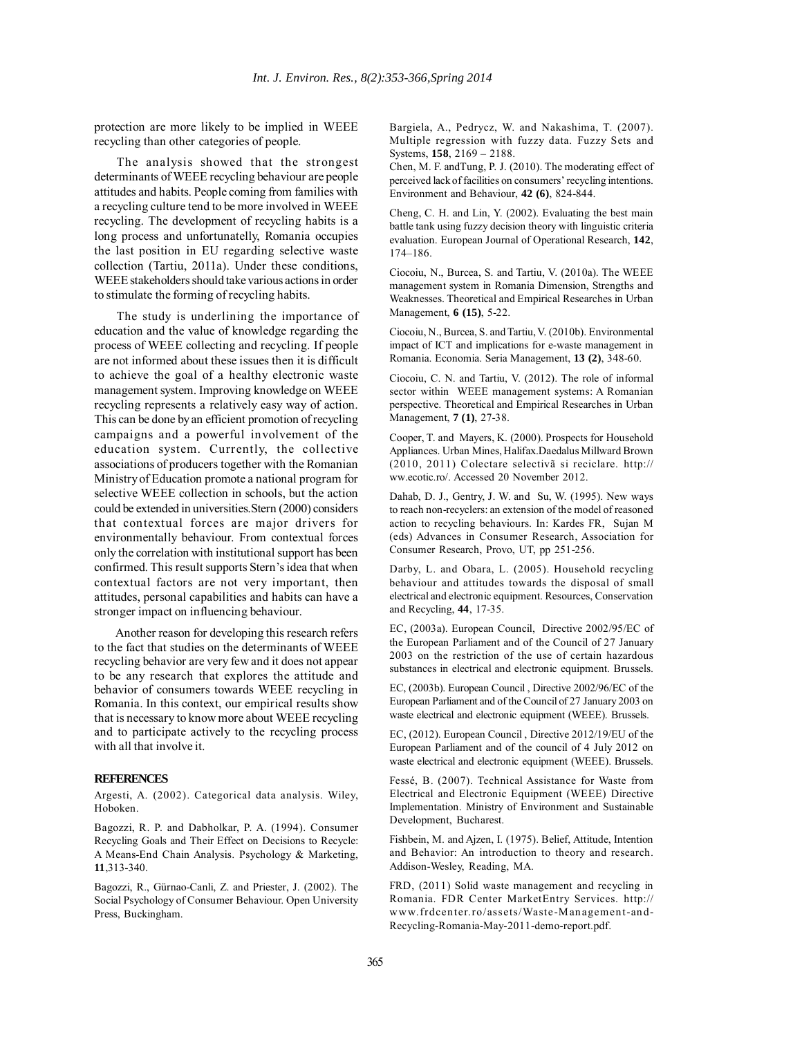protection are more likely to be implied in WEEE recycling than other categories of people.

The analysis showed that the strongest determinants of WEEE recycling behaviour are people attitudes and habits. People coming from families with a recycling culture tend to be more involved in WEEE recycling. The development of recycling habits is a long process and unfortunatelly, Romania occupies the last position in EU regarding selective waste collection (Tartiu, 2011a). Under these conditions, WEEE stakeholders should take various actions in order to stimulate the forming of recycling habits.

The study is underlining the importance of education and the value of knowledge regarding the process of WEEE collecting and recycling. If people are not informed about these issues then it is difficult to achieve the goal of a healthy electronic waste management system. Improving knowledge on WEEE recycling represents a relatively easy way of action. This can be done by an efficient promotion of recycling campaigns and a powerful involvement of the education system. Currently, the collective associations of producers together with the Romanian Ministry of Education promote a national program for selective WEEE collection in schools, but the action could be extended in universities.Stern (2000) considers that contextual forces are major drivers for environmentally behaviour. From contextual forces only the correlation with institutional support has been confirmed. This result supports Stern's idea that when contextual factors are not very important, then attitudes, personal capabilities and habits can have a stronger impact on influencing behaviour.

Another reason for developing this research refers to the fact that studies on the determinants of WEEE recycling behavior are very few and it does not appear to be any research that explores the attitude and behavior of consumers towards WEEE recycling in Romania. In this context, our empirical results show that is necessary to know more about WEEE recycling and to participate actively to the recycling process with all that involve it.

## **REFERENCES**

Argesti, A. (2002). Categorical data analysis. Wiley, Hoboken.

Bagozzi, R. P. and Dabholkar, P. A. (1994). Consumer Recycling Goals and Their Effect on Decisions to Recycle: A Means-End Chain Analysis. Psychology & Marketing, **11**,313-340.

Bagozzi, R., Gürnao-Canli, Z. and Priester, J. (2002). The Social Psychology of Consumer Behaviour. Open University Press, Buckingham.

Bargiela, A., Pedrycz, W. and Nakashima, T. (2007). Multiple regression with fuzzy data. Fuzzy Sets and Systems, **158**, 2169 – 2188.

Chen, M. F. andTung, P. J. (2010). The moderating effect of perceived lack of facilities on consumers' recycling intentions. Environment and Behaviour, **42 (6)**, 824-844.

Cheng, C. H. and Lin, Y. (2002). Evaluating the best main battle tank using fuzzy decision theory with linguistic criteria evaluation. European Journal of Operational Research, **142**, 174–186.

Ciocoiu, N., Burcea, S. and Tartiu, V. (2010a). The WEEE management system in Romania Dimension, Strengths and Weaknesses. Theoretical and Empirical Researches in Urban Management, **6 (15)**, 5-22.

Ciocoiu, N., Burcea, S. and Tartiu, V. (2010b). Environmental impact of ICT and implications for e-waste management in Romania. Economia. Seria Management, **13 (2)**, 348-60.

Ciocoiu, C. N. and Tartiu, V. (2012). The role of informal sector within WEEE management systems: A Romanian perspective. Theoretical and Empirical Researches in Urban Management, **7 (1)**, 27-38.

Cooper, T. and Mayers, K. (2000). Prospects for Household Appliances. Urban Mines, Halifax.Daedalus Millward Brown (2010, 2011) Colectare selectivã si reciclare. http:// ww.ecotic.ro/. Accessed 20 November 2012.

Dahab, D. J., Gentry, J. W. and Su, W. (1995). New ways to reach non-recyclers: an extension of the model of reasoned action to recycling behaviours. In: Kardes FR, Sujan M (eds) Advances in Consumer Research, Association for Consumer Research, Provo, UT, pp 251-256.

Darby, L. and Obara, L. (2005). Household recycling behaviour and attitudes towards the disposal of small electrical and electronic equipment. Resources, Conservation and Recycling, **44**, 17-35.

EC, (2003a). European Council, Directive 2002/95/EC of the European Parliament and of the Council of 27 January 2003 on the restriction of the use of certain hazardous substances in electrical and electronic equipment. Brussels.

EC, (2003b). European Council , Directive 2002/96/EC of the European Parliament and of the Council of 27 January 2003 on waste electrical and electronic equipment (WEEE). Brussels.

EC, (2012). European Council , Directive 2012/19/EU of the European Parliament and of the council of 4 July 2012 on waste electrical and electronic equipment (WEEE). Brussels.

Fessé, B. (2007). Technical Assistance for Waste from Electrical and Electronic Equipment (WEEE) Directive Implementation. Ministry of Environment and Sustainable Development, Bucharest.

Fishbein, M. and Ajzen, I. (1975). Belief, Attitude, Intention and Behavior: An introduction to theory and research. Addison-Wesley, Reading, MA.

FRD, (2011) Solid waste management and recycling in Romania. FDR Center MarketEntry Services. http:// www.frdcenter.ro/assets/Waste-Management-and-Recycling-Romania-May-2011-demo-report.pdf.